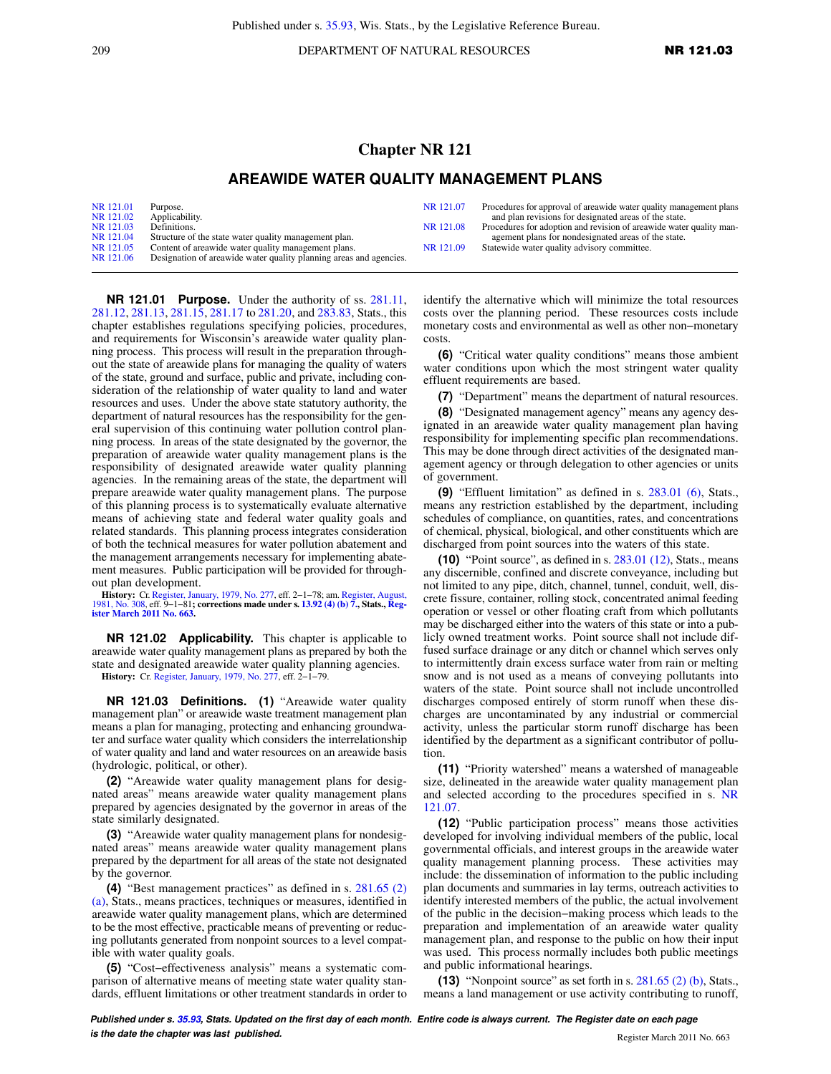209 **DEPARTMENT OF NATURAL RESOURCES NR 121.03** 

## **Chapter NR 121**

## **AREAWIDE WATER QUALITY MANAGEMENT PLANS**

| NR 121.01 | Purpose.                                                           | NR 121.07 | Procedures for approval of areawide water quality management plans  |
|-----------|--------------------------------------------------------------------|-----------|---------------------------------------------------------------------|
| NR 121.02 | Applicability.                                                     |           | and plan revisions for designated areas of the state.               |
| NR 121.03 | Definitions.                                                       | NR 121.08 | Procedures for adoption and revision of areawide water quality man- |
| NR 121.04 | Structure of the state water quality management plan.              |           | agement plans for nondesignated areas of the state.                 |
| NR 121.05 | Content of areawide water quality management plans.                | NR 121.09 | Statewide water quality advisory committee.                         |
| NR 121.06 | Designation of areawide water quality planning areas and agencies. |           |                                                                     |

**NR 121.01 Purpose.** Under the authority of ss. [281.11,](https://docs.legis.wisconsin.gov/document/statutes/281.11) [281.12,](https://docs.legis.wisconsin.gov/document/statutes/281.12) [281.13,](https://docs.legis.wisconsin.gov/document/statutes/281.13) [281.15,](https://docs.legis.wisconsin.gov/document/statutes/281.15) [281.17](https://docs.legis.wisconsin.gov/document/statutes/281.17) to [281.20](https://docs.legis.wisconsin.gov/document/statutes/281.20), and [283.83,](https://docs.legis.wisconsin.gov/document/statutes/283.83) Stats., this chapter establishes regulations specifying policies, procedures, and requirements for Wisconsin's areawide water quality planning process. This process will result in the preparation throughout the state of areawide plans for managing the quality of waters of the state, ground and surface, public and private, including consideration of the relationship of water quality to land and water resources and uses. Under the above state statutory authority, the department of natural resources has the responsibility for the general supervision of this continuing water pollution control planning process. In areas of the state designated by the governor, the preparation of areawide water quality management plans is the responsibility of designated areawide water quality planning agencies. In the remaining areas of the state, the department will prepare areawide water quality management plans. The purpose of this planning process is to systematically evaluate alternative means of achieving state and federal water quality goals and related standards. This planning process integrates consideration of both the technical measures for water pollution abatement and the management arrangements necessary for implementing abatement measures. Public participation will be provided for throughout plan development.

**History:** Cr. [Register, January, 1979, No. 277,](https://docs.legis.wisconsin.gov/document/register/277/B/toc) eff. 2−1−78; am. [Register, August,](https://docs.legis.wisconsin.gov/document/register/308/B/toc) [1981, No. 308,](https://docs.legis.wisconsin.gov/document/register/308/B/toc) eff. 9−1−81**; corrections made under s. [13.92 \(4\) \(b\) 7.](https://docs.legis.wisconsin.gov/document/statutes/13.92(4)(b)7.), Stats., [Reg](https://docs.legis.wisconsin.gov/document/register/663/B/toc)[ister March 2011 No. 663.](https://docs.legis.wisconsin.gov/document/register/663/B/toc)**

**NR 121.02 Applicability.** This chapter is applicable to areawide water quality management plans as prepared by both the state and designated areawide water quality planning agencies. **History:** Cr. [Register, January, 1979, No. 277](https://docs.legis.wisconsin.gov/document/register/277/B/toc), eff. 2−1−79.

**NR 121.03 Definitions. (1)** "Areawide water quality management plan" or areawide waste treatment management plan means a plan for managing, protecting and enhancing groundwater and surface water quality which considers the interrelationship of water quality and land and water resources on an areawide basis (hydrologic, political, or other).

**(2)** "Areawide water quality management plans for designated areas" means areawide water quality management plans prepared by agencies designated by the governor in areas of the state similarly designated.

**(3)** "Areawide water quality management plans for nondesignated areas" means areawide water quality management plans prepared by the department for all areas of the state not designated by the governor.

**(4)** "Best management practices" as defined in s. [281.65 \(2\)](https://docs.legis.wisconsin.gov/document/statutes/281.65(2)(a)) [\(a\),](https://docs.legis.wisconsin.gov/document/statutes/281.65(2)(a)) Stats., means practices, techniques or measures, identified in areawide water quality management plans, which are determined to be the most effective, practicable means of preventing or reducing pollutants generated from nonpoint sources to a level compatible with water quality goals.

**(5)** "Cost−effectiveness analysis" means a systematic comparison of alternative means of meeting state water quality standards, effluent limitations or other treatment standards in order to identify the alternative which will minimize the total resources costs over the planning period. These resources costs include monetary costs and environmental as well as other non−monetary costs.

**(6)** "Critical water quality conditions" means those ambient water conditions upon which the most stringent water quality effluent requirements are based.

**(7)** "Department" means the department of natural resources.

**(8)** "Designated management agency" means any agency designated in an areawide water quality management plan having responsibility for implementing specific plan recommendations. This may be done through direct activities of the designated management agency or through delegation to other agencies or units of government.

**(9)** "Effluent limitation" as defined in s. [283.01 \(6\),](https://docs.legis.wisconsin.gov/document/statutes/283.01(6)) Stats., means any restriction established by the department, including schedules of compliance, on quantities, rates, and concentrations of chemical, physical, biological, and other constituents which are discharged from point sources into the waters of this state.

**(10)** "Point source", as defined in s. [283.01 \(12\),](https://docs.legis.wisconsin.gov/document/statutes/283.01(12)) Stats., means any discernible, confined and discrete conveyance, including but not limited to any pipe, ditch, channel, tunnel, conduit, well, discrete fissure, container, rolling stock, concentrated animal feeding operation or vessel or other floating craft from which pollutants may be discharged either into the waters of this state or into a publicly owned treatment works. Point source shall not include diffused surface drainage or any ditch or channel which serves only to intermittently drain excess surface water from rain or melting snow and is not used as a means of conveying pollutants into waters of the state. Point source shall not include uncontrolled discharges composed entirely of storm runoff when these discharges are uncontaminated by any industrial or commercial activity, unless the particular storm runoff discharge has been identified by the department as a significant contributor of pollution.

**(11)** "Priority watershed" means a watershed of manageable size, delineated in the areawide water quality management plan and selected according to the procedures specified in s. [NR](https://docs.legis.wisconsin.gov/document/administrativecode/NR%20121.07) [121.07](https://docs.legis.wisconsin.gov/document/administrativecode/NR%20121.07).

**(12)** "Public participation process" means those activities developed for involving individual members of the public, local governmental officials, and interest groups in the areawide water quality management planning process. These activities may include: the dissemination of information to the public including plan documents and summaries in lay terms, outreach activities to identify interested members of the public, the actual involvement of the public in the decision−making process which leads to the preparation and implementation of an areawide water quality management plan, and response to the public on how their input was used. This process normally includes both public meetings and public informational hearings.

**(13)** "Nonpoint source" as set forth in s. [281.65 \(2\) \(b\)](https://docs.legis.wisconsin.gov/document/statutes/281.65(2)(b)), Stats., means a land management or use activity contributing to runoff,

**Published under s. [35.93,](https://docs.legis.wisconsin.gov/document/statutes/35.93) Stats. Updated on the first day of each month. Entire code is always current. The Register date on each page is the date the chapter was last published. is the date the chapter was last published.** Register March 2011 No. 663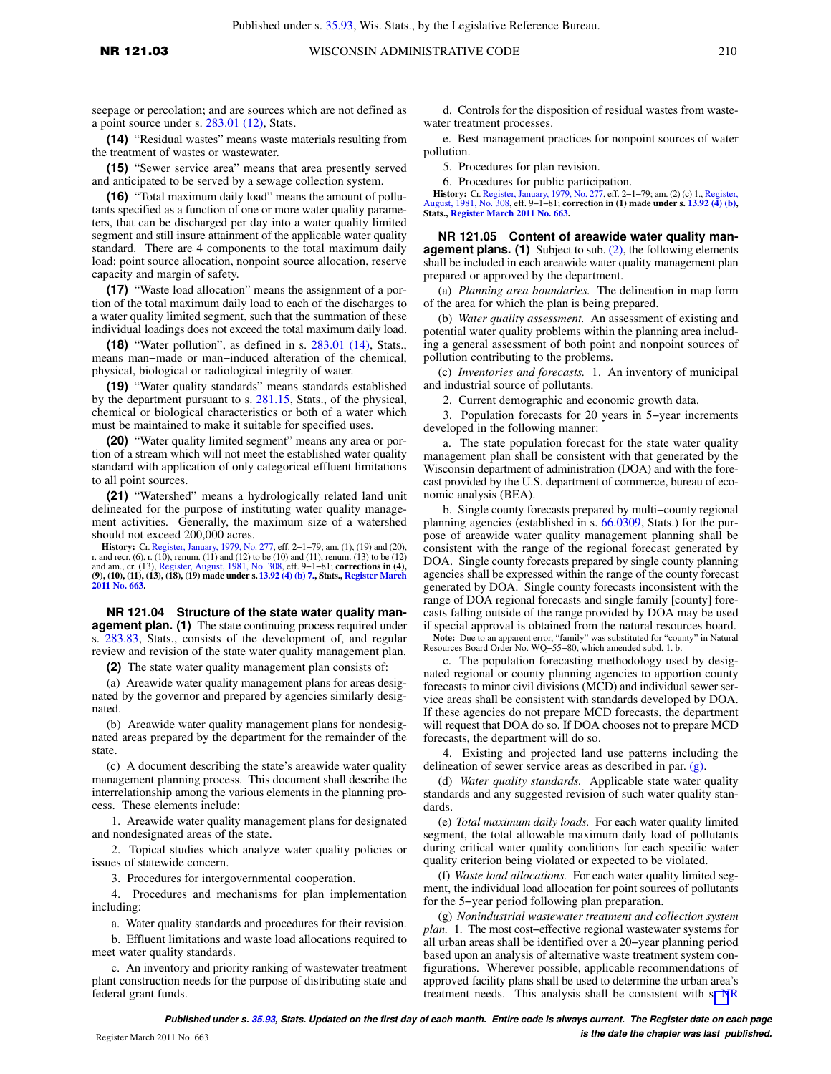**(14)** "Residual wastes" means waste materials resulting from the treatment of wastes or wastewater.

**(15)** "Sewer service area" means that area presently served and anticipated to be served by a sewage collection system.

**(16)** "Total maximum daily load" means the amount of pollutants specified as a function of one or more water quality parameters, that can be discharged per day into a water quality limited segment and still insure attainment of the applicable water quality standard. There are 4 components to the total maximum daily load: point source allocation, nonpoint source allocation, reserve capacity and margin of safety.

**(17)** "Waste load allocation" means the assignment of a portion of the total maximum daily load to each of the discharges to a water quality limited segment, such that the summation of these individual loadings does not exceed the total maximum daily load.

**(18)** "Water pollution", as defined in s. [283.01 \(14\),](https://docs.legis.wisconsin.gov/document/statutes/283.01(14)) Stats., means man−made or man−induced alteration of the chemical, physical, biological or radiological integrity of water.

**(19)** "Water quality standards" means standards established by the department pursuant to s. [281.15,](https://docs.legis.wisconsin.gov/document/statutes/281.15) Stats., of the physical, chemical or biological characteristics or both of a water which must be maintained to make it suitable for specified uses.

**(20)** "Water quality limited segment" means any area or portion of a stream which will not meet the established water quality standard with application of only categorical effluent limitations to all point sources.

**(21)** "Watershed" means a hydrologically related land unit delineated for the purpose of instituting water quality management activities. Generally, the maximum size of a watershed should not exceed 200,000 acres.

**History:** Cr. [Register, January, 1979, No. 277](https://docs.legis.wisconsin.gov/document/register/277/B/toc), eff. 2−1−79; am. (1), (19) and (20), r. and recr. (6), r. (10), renum. (11) and (12) to be (10) and (11), renum. (13) to be (12) and am., cr. (13), [Register, August, 1981, No. 308,](https://docs.legis.wisconsin.gov/document/register/308/B/toc) eff. 9−1−81; **corrections in (4), (9), (10), (11), (13), (18), (19) made under s. [13.92 \(4\) \(b\) 7.,](https://docs.legis.wisconsin.gov/document/statutes/13.92(4)(b)7.) Stats., [Register March](https://docs.legis.wisconsin.gov/document/register/663/B/toc) [2011 No. 663.](https://docs.legis.wisconsin.gov/document/register/663/B/toc)**

**NR 121.04 Structure of the state water quality management plan. (1)** The state continuing process required under s. [283.83](https://docs.legis.wisconsin.gov/document/statutes/283.83), Stats., consists of the development of, and regular review and revision of the state water quality management plan.

**(2)** The state water quality management plan consists of:

(a) Areawide water quality management plans for areas designated by the governor and prepared by agencies similarly designated.

(b) Areawide water quality management plans for nondesignated areas prepared by the department for the remainder of the state.

(c) A document describing the state's areawide water quality management planning process. This document shall describe the interrelationship among the various elements in the planning process. These elements include:

1. Areawide water quality management plans for designated and nondesignated areas of the state.

2. Topical studies which analyze water quality policies or issues of statewide concern.

3. Procedures for intergovernmental cooperation.

4. Procedures and mechanisms for plan implementation including:

a. Water quality standards and procedures for their revision.

b. Effluent limitations and waste load allocations required to meet water quality standards.

c. An inventory and priority ranking of wastewater treatment plant construction needs for the purpose of distributing state and federal grant funds.

d. Controls for the disposition of residual wastes from wastewater treatment processes.

e. Best management practices for nonpoint sources of water pollution.

5. Procedures for plan revision.

6. Procedures for public participation.

**History:** Cr. [Register, January, 1979, No. 277,](https://docs.legis.wisconsin.gov/document/register/277/B/toc) eff. 2–1–79; am. (2) (c) 1., [Register,](https://docs.legis.wisconsin.gov/document/register/308/B/toc) [August, 1981, No. 308,](https://docs.legis.wisconsin.gov/document/register/308/B/toc) eff. 9–1–81; **correction in (1) made under s. [13.92 \(4\) \(b\)](https://docs.legis.wisconsin.gov/document/statutes/13.92(4)(b))**, **Stats., [Register March 2011 No. 663.](https://docs.legis.wisconsin.gov/document/register/663/B/toc)**

**NR 121.05 Content of areawide water quality management plans. (1)** Subject to sub. [\(2\)](https://docs.legis.wisconsin.gov/document/administrativecode/NR%20121.05(2)), the following elements shall be included in each areawide water quality management plan prepared or approved by the department.

(a) *Planning area boundaries.* The delineation in map form of the area for which the plan is being prepared.

(b) *Water quality assessment.* An assessment of existing and potential water quality problems within the planning area including a general assessment of both point and nonpoint sources of pollution contributing to the problems.

(c) *Inventories and forecasts.* 1. An inventory of municipal and industrial source of pollutants.

2. Current demographic and economic growth data.

3. Population forecasts for 20 years in 5−year increments developed in the following manner:

a. The state population forecast for the state water quality management plan shall be consistent with that generated by the Wisconsin department of administration (DOA) and with the forecast provided by the U.S. department of commerce, bureau of economic analysis (BEA).

b. Single county forecasts prepared by multi−county regional planning agencies (established in s. [66.0309,](https://docs.legis.wisconsin.gov/document/statutes/66.0309) Stats.) for the purpose of areawide water quality management planning shall be consistent with the range of the regional forecast generated by DOA. Single county forecasts prepared by single county planning agencies shall be expressed within the range of the county forecast generated by DOA. Single county forecasts inconsistent with the range of DOA regional forecasts and single family [county] forecasts falling outside of the range provided by DOA may be used if special approval is obtained from the natural resources board.

**Note:** Due to an apparent error, "family" was substituted for "county" in Natural Resources Board Order No. WQ−55−80, which amended subd. 1. b.

c. The population forecasting methodology used by designated regional or county planning agencies to apportion county forecasts to minor civil divisions (MCD) and individual sewer service areas shall be consistent with standards developed by DOA. If these agencies do not prepare MCD forecasts, the department will request that DOA do so. If DOA chooses not to prepare MCD forecasts, the department will do so.

4. Existing and projected land use patterns including the delineation of sewer service areas as described in par. [\(g\).](https://docs.legis.wisconsin.gov/document/administrativecode/NR%20121.05(1)(g))

(d) *Water quality standards.* Applicable state water quality standards and any suggested revision of such water quality standards.

(e) *Total maximum daily loads.* For each water quality limited segment, the total allowable maximum daily load of pollutants during critical water quality conditions for each specific water quality criterion being violated or expected to be violated.

(f) *Waste load allocations.* For each water quality limited segment, the individual load allocation for point sources of pollutants for the 5−year period following plan preparation.

(g) *Nonindustrial wastewater treatment and collection system plan.* 1. The most cost−effective regional wastewater systems for all urban areas shall be identified over a 20−year planning period based upon an analysis of alternative waste treatment system configurations. Wherever possible, applicable recommendations of approved facility plans shall be used to determine the urban area's treatment needs. This analysis shall be consistent with s[. N](https://docs.legis.wisconsin.gov/document/administrativecode/NR%20110.09)R

**Published under s. [35.93,](https://docs.legis.wisconsin.gov/document/statutes/35.93) Stats. Updated on the first day of each month. Entire code is always current. The Register date on each page is the date the chapter was last published.** Register March 2011 No. 663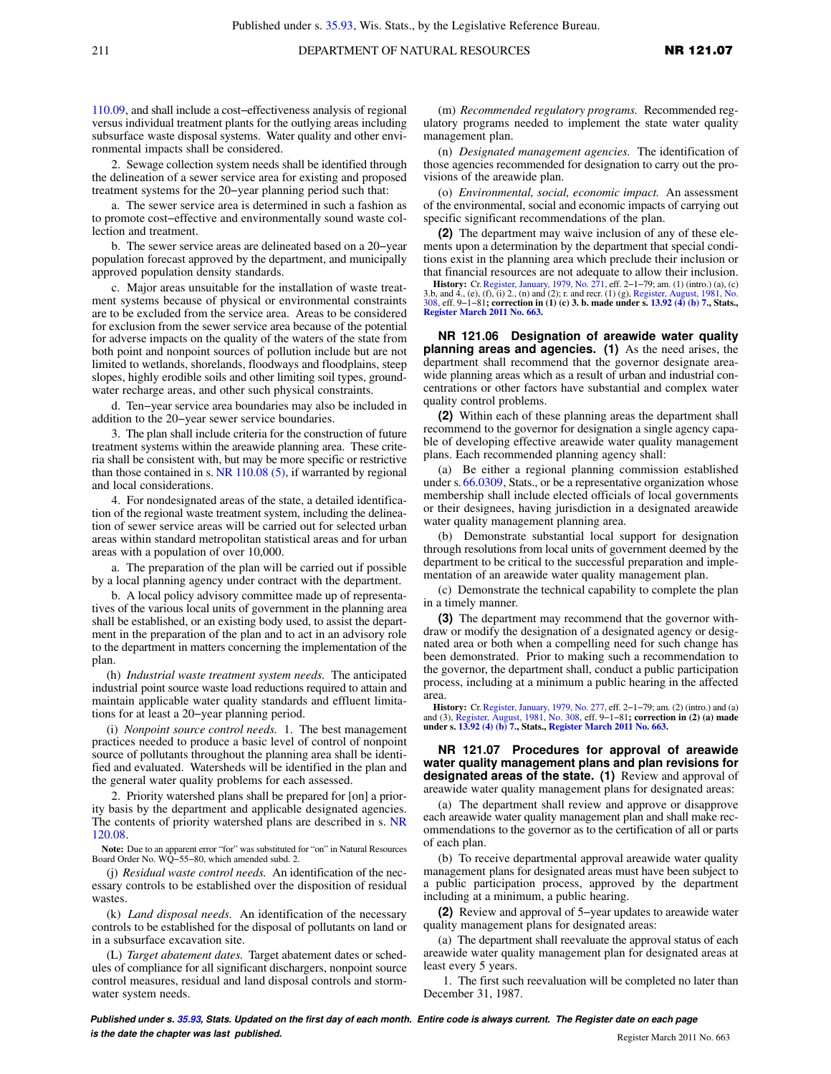[110.09](https://docs.legis.wisconsin.gov/document/administrativecode/NR%20110.09), and shall include a cost−effectiveness analysis of regional versus individual treatment plants for the outlying areas including subsurface waste disposal systems. Water quality and other environmental impacts shall be considered.

2. Sewage collection system needs shall be identified through the delineation of a sewer service area for existing and proposed treatment systems for the 20−year planning period such that:

a. The sewer service area is determined in such a fashion as to promote cost−effective and environmentally sound waste collection and treatment.

b. The sewer service areas are delineated based on a 20−year population forecast approved by the department, and municipally approved population density standards.

c. Major areas unsuitable for the installation of waste treatment systems because of physical or environmental constraints are to be excluded from the service area. Areas to be considered for exclusion from the sewer service area because of the potential for adverse impacts on the quality of the waters of the state from both point and nonpoint sources of pollution include but are not limited to wetlands, shorelands, floodways and floodplains, steep slopes, highly erodible soils and other limiting soil types, groundwater recharge areas, and other such physical constraints.

d. Ten−year service area boundaries may also be included in addition to the 20−year sewer service boundaries.

3. The plan shall include criteria for the construction of future treatment systems within the areawide planning area. These criteria shall be consistent with, but may be more specific or restrictive than those contained in s. [NR 110.08 \(5\)](https://docs.legis.wisconsin.gov/document/administrativecode/NR%20110.08(5)), if warranted by regional and local considerations.

4. For nondesignated areas of the state, a detailed identification of the regional waste treatment system, including the delineation of sewer service areas will be carried out for selected urban areas within standard metropolitan statistical areas and for urban areas with a population of over 10,000.

a. The preparation of the plan will be carried out if possible by a local planning agency under contract with the department.

b. A local policy advisory committee made up of representatives of the various local units of government in the planning area shall be established, or an existing body used, to assist the department in the preparation of the plan and to act in an advisory role to the department in matters concerning the implementation of the plan.

(h) *Industrial waste treatment system needs.* The anticipated industrial point source waste load reductions required to attain and maintain applicable water quality standards and effluent limitations for at least a 20−year planning period.

(i) *Nonpoint source control needs.* 1. The best management practices needed to produce a basic level of control of nonpoint source of pollutants throughout the planning area shall be identified and evaluated. Watersheds will be identified in the plan and the general water quality problems for each assessed.

2. Priority watershed plans shall be prepared for [on] a priority basis by the department and applicable designated agencies. The contents of priority watershed plans are described in s. [NR](https://docs.legis.wisconsin.gov/document/administrativecode/NR%20120.08) [120.08.](https://docs.legis.wisconsin.gov/document/administrativecode/NR%20120.08)

**Note:** Due to an apparent error "for" was substituted for "on" in Natural Resources Board Order No. WQ−55−80, which amended subd. 2.

(j) *Residual waste control needs.* An identification of the necessary controls to be established over the disposition of residual wastes.

(k) *Land disposal needs.* An identification of the necessary controls to be established for the disposal of pollutants on land or in a subsurface excavation site.

(L) *Target abatement dates.* Target abatement dates or schedules of compliance for all significant dischargers, nonpoint source control measures, residual and land disposal controls and stormwater system needs.

(m) *Recommended regulatory programs.* Recommended regulatory programs needed to implement the state water quality management plan.

(n) *Designated management agencies.* The identification of those agencies recommended for designation to carry out the provisions of the areawide plan.

(o) *Environmental, social, economic impact.* An assessment of the environmental, social and economic impacts of carrying out specific significant recommendations of the plan.

**(2)** The department may waive inclusion of any of these elements upon a determination by the department that special conditions exist in the planning area which preclude their inclusion or that financial resources are not adequate to allow their inclusion.

**History:** Cr. [Register, January, 1979, No. 271,](https://docs.legis.wisconsin.gov/document/register/271/B/toc) eff. 2–1–79; am. (1) (intro.) (a), (c) 3.b, and 4., (e), (f), (i) 2., (n) and (2); r. and recr. (1) (g), [Register, August, 1981, No.](https://docs.legis.wisconsin.gov/document/register/308/B/toc) [308,](https://docs.legis.wisconsin.gov/document/register/308/B/toc) eff. 9–1–81; correction in (1) (c)

**NR 121.06 Designation of areawide water quality planning areas and agencies. (1)** As the need arises, the department shall recommend that the governor designate areawide planning areas which as a result of urban and industrial concentrations or other factors have substantial and complex water quality control problems.

**(2)** Within each of these planning areas the department shall recommend to the governor for designation a single agency capable of developing effective areawide water quality management plans. Each recommended planning agency shall:

(a) Be either a regional planning commission established under s. [66.0309,](https://docs.legis.wisconsin.gov/document/statutes/66.0309) Stats., or be a representative organization whose membership shall include elected officials of local governments or their designees, having jurisdiction in a designated areawide water quality management planning area.

(b) Demonstrate substantial local support for designation through resolutions from local units of government deemed by the department to be critical to the successful preparation and implementation of an areawide water quality management plan.

(c) Demonstrate the technical capability to complete the plan in a timely manner.

**(3)** The department may recommend that the governor withdraw or modify the designation of a designated agency or designated area or both when a compelling need for such change has been demonstrated. Prior to making such a recommendation to the governor, the department shall, conduct a public participation process, including at a minimum a public hearing in the affected area.

**History:** Cr. [Register, January, 1979, No. 277,](https://docs.legis.wisconsin.gov/document/register/277/B/toc) eff. 2−1−79; am. (2) (intro.) and (a) and (3), [Register, August, 1981, No. 308](https://docs.legis.wisconsin.gov/document/register/308/B/toc), eff. 9−1−81**; correction in (2) (a) made under s. [13.92 \(4\) \(b\) 7.,](https://docs.legis.wisconsin.gov/document/statutes/13.92(4)(b)7.) Stats., [Register March 2011 No. 663.](https://docs.legis.wisconsin.gov/document/register/663/B/toc)**

**NR 121.07 Procedures for approval of areawide water quality management plans and plan revisions for designated areas of the state. (1)** Review and approval of areawide water quality management plans for designated areas:

(a) The department shall review and approve or disapprove each areawide water quality management plan and shall make recommendations to the governor as to the certification of all or parts of each plan.

(b) To receive departmental approval areawide water quality management plans for designated areas must have been subject to a public participation process, approved by the department including at a minimum, a public hearing.

**(2)** Review and approval of 5−year updates to areawide water quality management plans for designated areas:

(a) The department shall reevaluate the approval status of each areawide water quality management plan for designated areas at least every 5 years.

1. The first such reevaluation will be completed no later than December 31, 1987.

**Published under s. [35.93,](https://docs.legis.wisconsin.gov/document/statutes/35.93) Stats. Updated on the first day of each month. Entire code is always current. The Register date on each page is the date the chapter was last published. is the date the chapter was last published.** Register March 2011 No. 663